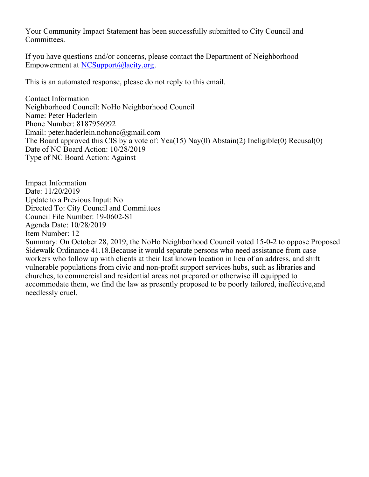Your Community Impact Statement has been successfully submitted to City Council and Committees.

If you have questions and/or concerns, please contact the Department of Neighborhood Empowerment at [NCSupport@lacity.org](mailto:NCSupport@lacity.org).

This is an automated response, please do not reply to this email.

Contact Information Neighborhood Council: NoHo Neighborhood Council Name: Peter Haderlein Phone Number: 8187956992 Email: peter.haderlein.nohonc@gmail.com The Board approved this CIS by a vote of: Yea(15) Nay(0) Abstain(2) Ineligible(0) Recusal(0) Date of NC Board Action: 10/28/2019 Type of NC Board Action: Against

Impact Information Date: 11/20/2019 Update to a Previous Input: No Directed To: City Council and Committees Council File Number: 19-0602-S1 Agenda Date: 10/28/2019 Item Number: 12

Summary: On October 28, 2019, the NoHo Neighborhood Council voted 15-0-2 to oppose Proposed Sidewalk Ordinance 41.18.Because it would separate persons who need assistance from case workers who follow up with clients at their last known location in lieu of an address, and shift vulnerable populations from civic and non-profit support services hubs, such as libraries and churches, to commercial and residential areas not prepared or otherwise ill equipped to accommodate them, we find the law as presently proposed to be poorly tailored, ineffective,and needlessly cruel.